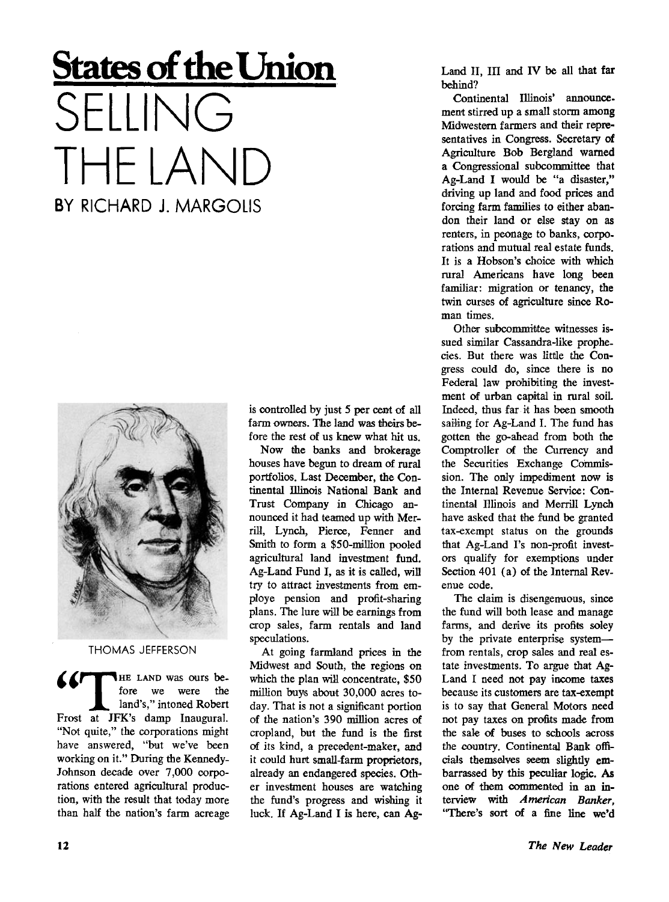## **States of the Union**  SEILING THE LAND BY RICHARD J. MARGOLIS



THOMAS JEFFERSON

**APPELAND** was ours before we were the *m.* land's," intoned Robert Frost at JFK's damp Inaugural. "Not quite," the corporations might have answered, "but we've been working on it." During the Kennedy-Johnson decade over 7,000 corporations entered agricultural production, with the result that today more than half the nation's farm acreage is controlled by just 5 per cent of all farm owners. The land was theirs before the rest of us knew what hit us.

Now the banks and brokerage houses have begun to dream of rural portfolios. Last December, the Continental Illinois National Bank and Trust Company in Chicago announced it had teamed up with Merrill, Lynch, Pierce, Fenner and Smith to form a \$50-million pooled agricultural land investment fund. Ag-Land Fund I, as it is called, will try to attract investments from employe pension and profit-sharing plans. The lure will be earnings from crop sales, farm rentals and land speculations.

At going farmland prices in the Midwest and South, the regions on which the plan will concentrate, \$50 million buys about 30,000 acres today. That is not a significant portion of the nation's 390 million acres of cropland, but the fund is the first of its kind, a precedent-maker, and it could hurt small-farm proprietors, already an endangered species. Other investment houses are watching the fund's progress and wishing it luck. If Ag-Land I is here, can AgLand II, III and IV be all that far behind?

Continental Illinois' announcement stirred up a small storm among Midwestern farmers and their representatives in Congress. Secretary of Agriculture Bob Bergland warned a Congressional subcommittee that Ag-Land I would be "a disaster," driving up land and food prices and forcing farm families to either abandon their land or else stay on as renters, in peonage to banks, corporations and mutual real estate funds. It is a Hobson's choice with which rural Americans have long been familiar: migration or tenancy, the twin curses of agriculture since Roman times.

Other subcommittee witnesses issued similar Cassandra-like prophecies. But there was little the Congress could do, since there is no Federal law prohibiting the investment of urban capital in rural soil. Indeed, thus far it has been smooth sailing for Ag-Land I. The fund has gotten the go-ahead from both the Comptroller of the Currency and the Securities Exchange Commission. The only impediment now is the Internal Revenue Service: Continental Illinois and Merrill Lynch have asked that the fund be granted tax-exempt status on the grounds that Ag-Land I's non-profit investors qualify for exemptions under Section 401 (a) of the Internal Revenue code.

The claim is disengenuous, since the fund will both lease and manage farms, and derive its profits soley by the private enterprise system from rentals, crop sales and real estate investments. To argue that Ag-Land I need not pay income taxes because its customers are tax-exempt is to say that General Motors need not pay taxes on profits made from the sale of buses to schools across the country. Continental Bank officials themselves seem slightly embarrassed by this peculiar logic. As one of them commented in an interview with *American Banker,*  "There's sort of a fine line we'd